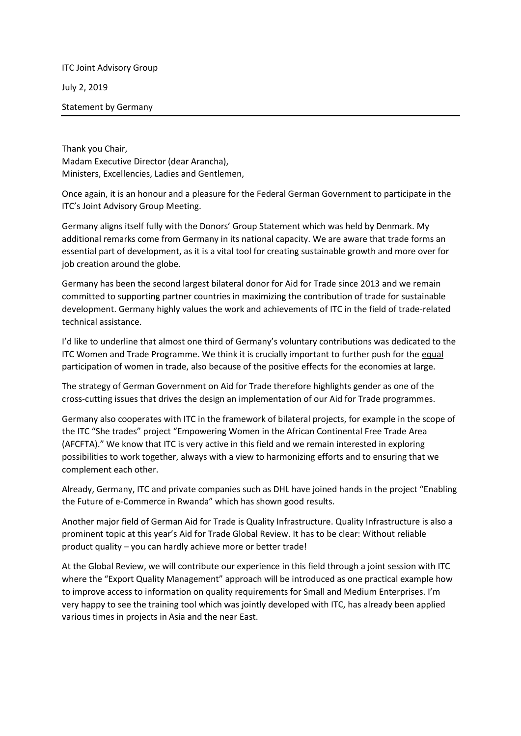ITC Joint Advisory Group July 2, 2019

Statement by Germany

Thank you Chair, Madam Executive Director (dear Arancha), Ministers, Excellencies, Ladies and Gentlemen,

Once again, it is an honour and a pleasure for the Federal German Government to participate in the ITC's Joint Advisory Group Meeting.

Germany aligns itself fully with the Donors' Group Statement which was held by Denmark. My additional remarks come from Germany in its national capacity. We are aware that trade forms an essential part of development, as it is a vital tool for creating sustainable growth and more over for job creation around the globe.

Germany has been the second largest bilateral donor for Aid for Trade since 2013 and we remain committed to supporting partner countries in maximizing the contribution of trade for sustainable development. Germany highly values the work and achievements of ITC in the field of trade-related technical assistance.

I'd like to underline that almost one third of Germany's voluntary contributions was dedicated to the ITC Women and Trade Programme. We think it is crucially important to further push for the equal participation of women in trade, also because of the positive effects for the economies at large.

The strategy of German Government on Aid for Trade therefore highlights gender as one of the cross-cutting issues that drives the design an implementation of our Aid for Trade programmes.

Germany also cooperates with ITC in the framework of bilateral projects, for example in the scope of the ITC "She trades" project "Empowering Women in the African Continental Free Trade Area (AFCFTA)." We know that ITC is very active in this field and we remain interested in exploring possibilities to work together, always with a view to harmonizing efforts and to ensuring that we complement each other.

Already, Germany, ITC and private companies such as DHL have joined hands in the project "Enabling the Future of e-Commerce in Rwanda" which has shown good results.

Another major field of German Aid for Trade is Quality Infrastructure. Quality Infrastructure is also a prominent topic at this year's Aid for Trade Global Review. It has to be clear: Without reliable product quality – you can hardly achieve more or better trade!

At the Global Review, we will contribute our experience in this field through a joint session with ITC where the "Export Quality Management" approach will be introduced as one practical example how to improve access to information on quality requirements for Small and Medium Enterprises. I'm very happy to see the training tool which was jointly developed with ITC, has already been applied various times in projects in Asia and the near East.